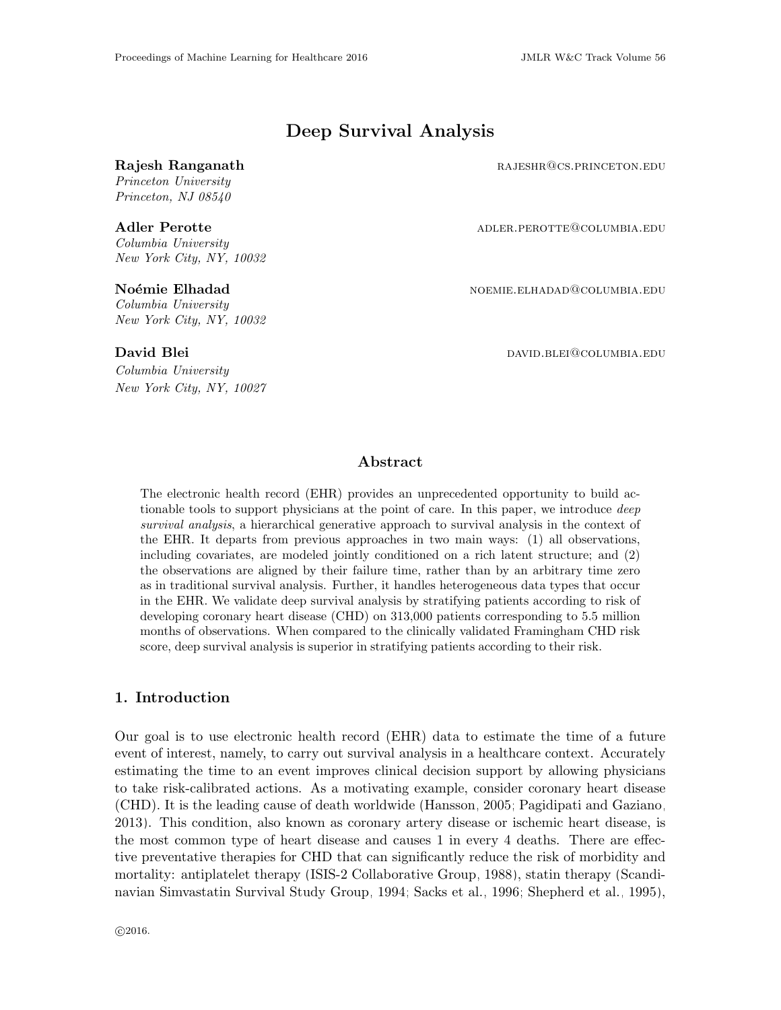# Deep Survival Analysis

Princeton University Princeton, NJ 08540

Columbia University New York City, NY, 10032

Columbia University New York City, NY, 10032

Columbia University New York City, NY, 10027

Rajesh Ranganath **Rajesh Ranganath** rajeshr@cs.princeton.edu

Adler Perotte and adler. The added added added and added added added and added added added and added and added a

Noémie Elhadad noemie.elhadad noemie.elhadad noemie.elhadad

David Blei david.blei david.blei david.blei david.blei david.blei david.blei david.blei david.blei david.blei

## Abstract

The electronic health record (EHR) provides an unprecedented opportunity to build actionable tools to support physicians at the point of care. In this paper, we introduce *deep* survival analysis, a hierarchical generative approach to survival analysis in the context of the EHR. It departs from previous approaches in two main ways: (1) all observations, including covariates, are modeled jointly conditioned on a rich latent structure; and (2) the observations are aligned by their failure time, rather than by an arbitrary time zero as in traditional survival analysis. Further, it handles heterogeneous data types that occur in the EHR. We validate deep survival analysis by stratifying patients according to risk of developing coronary heart disease (CHD) on 313,000 patients corresponding to 5.5 million months of observations. When compared to the clinically validated Framingham CHD risk score, deep survival analysis is superior in stratifying patients according to their risk.

## 1. Introduction

Our goal is to use electronic health record (EHR) data to estimate the time of a future event of interest, namely, to carry out survival analysis in a healthcare context. Accurately estimating the time to an event improves clinical decision support by allowing physicians to take risk-calibrated actions. As a motivating example, consider coronary heart disease (CHD). It is the leading cause of death worldwide [\(Hansson, 2005;](#page-10-0) [Pagidipati and Gaziano,](#page-11-0) [2013\)](#page-11-0). This condition, also known as coronary artery disease or ischemic heart disease, is the most common type of heart disease and causes 1 in every 4 deaths. There are effective preventative therapies for CHD that can significantly reduce the risk of morbidity and mortality: antiplatelet therapy [\(ISIS-2 Collaborative Group, 1988\)](#page-11-1), statin therapy [\(Scandi](#page-12-0)[navian Simvastatin Survival Study Group, 1994;](#page-12-0) [Sacks et al., 1996;](#page-12-1) [Shepherd et al., 1995\)](#page-12-2),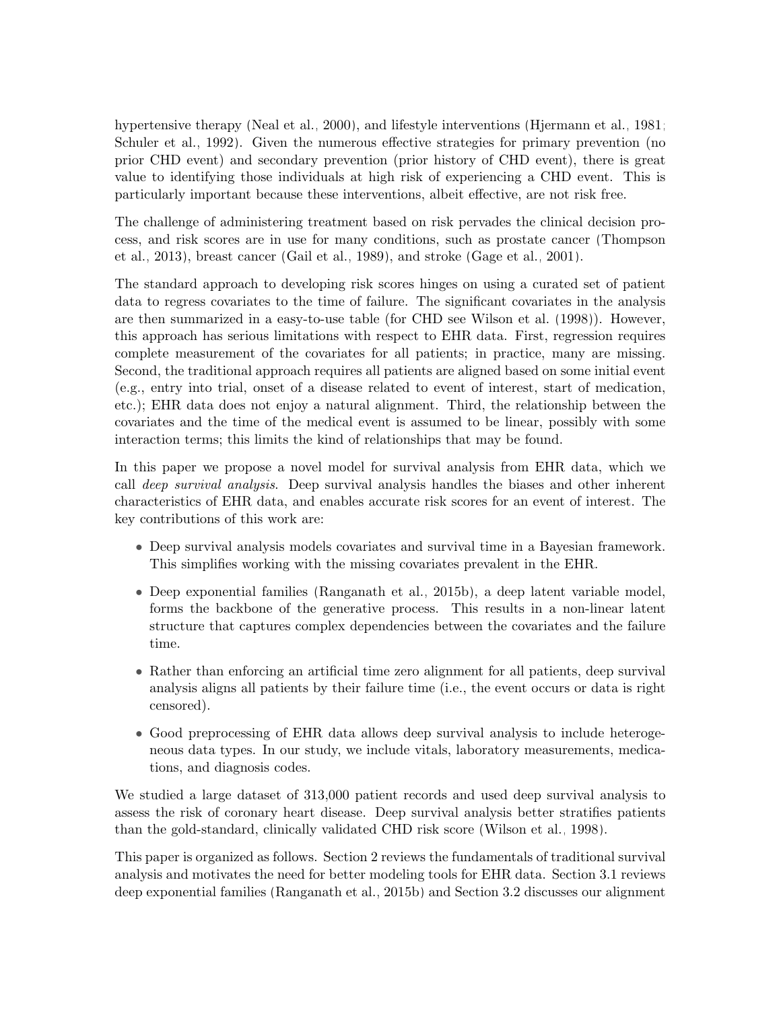hypertensive therapy [\(Neal et al., 2000\)](#page-11-2), and lifestyle interventions [\(Hjermann et al., 1981;](#page-10-1) [Schuler et al., 1992\)](#page-12-3). Given the numerous effective strategies for primary prevention (no prior CHD event) and secondary prevention (prior history of CHD event), there is great value to identifying those individuals at high risk of experiencing a CHD event. This is particularly important because these interventions, albeit effective, are not risk free.

The challenge of administering treatment based on risk pervades the clinical decision process, and risk scores are in use for many conditions, such as prostate cancer [\(Thompson](#page-12-4) [et al., 2013\)](#page-12-4), breast cancer [\(Gail et al., 1989\)](#page-10-2), and stroke [\(Gage et al., 2001\)](#page-10-3).

The standard approach to developing risk scores hinges on using a curated set of patient data to regress covariates to the time of failure. The significant covariates in the analysis are then summarized in a easy-to-use table (for CHD see [Wilson et al. \(1998\)](#page-12-5)). However, this approach has serious limitations with respect to EHR data. First, regression requires complete measurement of the covariates for all patients; in practice, many are missing. Second, the traditional approach requires all patients are aligned based on some initial event (e.g., entry into trial, onset of a disease related to event of interest, start of medication, etc.); EHR data does not enjoy a natural alignment. Third, the relationship between the covariates and the time of the medical event is assumed to be linear, possibly with some interaction terms; this limits the kind of relationships that may be found.

In this paper we propose a novel model for survival analysis from EHR data, which we call deep survival analysis. Deep survival analysis handles the biases and other inherent characteristics of EHR data, and enables accurate risk scores for an event of interest. The key contributions of this work are:

- Deep survival analysis models covariates and survival time in a Bayesian framework. This simplifies working with the missing covariates prevalent in the EHR.
- Deep exponential families [\(Ranganath et al., 2015b\)](#page-11-3), a deep latent variable model, forms the backbone of the generative process. This results in a non-linear latent structure that captures complex dependencies between the covariates and the failure time.
- Rather than enforcing an artificial time zero alignment for all patients, deep survival analysis aligns all patients by their failure time (i.e., the event occurs or data is right censored).
- Good preprocessing of EHR data allows deep survival analysis to include heterogeneous data types. In our study, we include vitals, laboratory measurements, medications, and diagnosis codes.

We studied a large dataset of 313,000 patient records and used deep survival analysis to assess the risk of coronary heart disease. Deep survival analysis better stratifies patients than the gold-standard, clinically validated CHD risk score [\(Wilson et al., 1998\)](#page-12-5).

This paper is organized as follows. Section [2](#page-2-0) reviews the fundamentals of traditional survival analysis and motivates the need for better modeling tools for EHR data. Section [3.1](#page-3-0) reviews deep exponential families [\(Ranganath et al., 2015b\)](#page-11-3) and Section [3.2](#page-4-0) discusses our alignment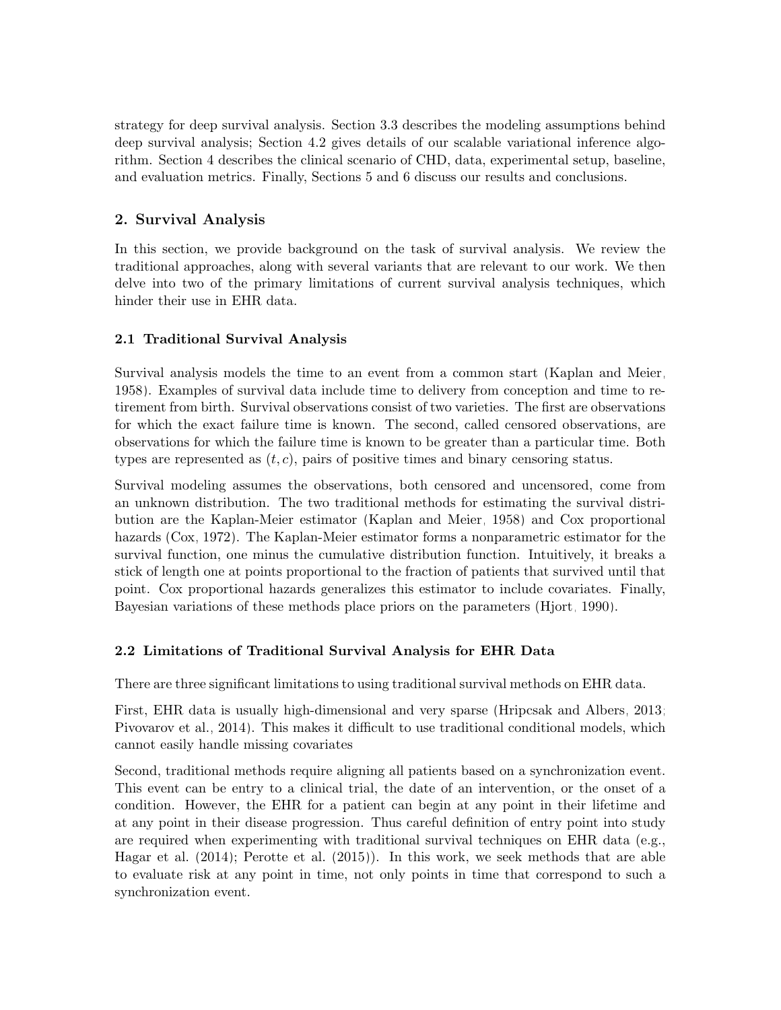strategy for deep survival analysis. Section [3.3](#page-5-0) describes the modeling assumptions behind deep survival analysis; Section [4.2](#page-7-0) gives details of our scalable variational inference algorithm. Section [4](#page-6-0) describes the clinical scenario of CHD, data, experimental setup, baseline, and evaluation metrics. Finally, Sections [5](#page-8-0) and [6](#page-9-0) discuss our results and conclusions.

# <span id="page-2-0"></span>2. Survival Analysis

In this section, we provide background on the task of survival analysis. We review the traditional approaches, along with several variants that are relevant to our work. We then delve into two of the primary limitations of current survival analysis techniques, which hinder their use in EHR data.

# 2.1 Traditional Survival Analysis

Survival analysis models the time to an event from a common start [\(Kaplan and Meier,](#page-11-4) [1958\)](#page-11-4). Examples of survival data include time to delivery from conception and time to retirement from birth. Survival observations consist of two varieties. The first are observations for which the exact failure time is known. The second, called censored observations, are observations for which the failure time is known to be greater than a particular time. Both types are represented as  $(t, c)$ , pairs of positive times and binary censoring status.

Survival modeling assumes the observations, both censored and uncensored, come from an unknown distribution. The two traditional methods for estimating the survival distribution are the Kaplan-Meier estimator [\(Kaplan and Meier, 1958\)](#page-11-4) and Cox proportional hazards [\(Cox, 1972\)](#page-10-4). The Kaplan-Meier estimator forms a nonparametric estimator for the survival function, one minus the cumulative distribution function. Intuitively, it breaks a stick of length one at points proportional to the fraction of patients that survived until that point. Cox proportional hazards generalizes this estimator to include covariates. Finally, Bayesian variations of these methods place priors on the parameters [\(Hjort, 1990\)](#page-10-5).

# 2.2 Limitations of Traditional Survival Analysis for EHR Data

There are three significant limitations to using traditional survival methods on EHR data.

First, EHR data is usually high-dimensional and very sparse [\(Hripcsak and Albers, 2013;](#page-10-6) [Pivovarov et al., 2014\)](#page-11-5). This makes it difficult to use traditional conditional models, which cannot easily handle missing covariates

Second, traditional methods require aligning all patients based on a synchronization event. This event can be entry to a clinical trial, the date of an intervention, or the onset of a condition. However, the EHR for a patient can begin at any point in their lifetime and at any point in their disease progression. Thus careful definition of entry point into study are required when experimenting with traditional survival techniques on EHR data (e.g., [Hagar et al. \(2014\)](#page-10-7); [Perotte et al. \(2015\)](#page-11-6)). In this work, we seek methods that are able to evaluate risk at any point in time, not only points in time that correspond to such a synchronization event.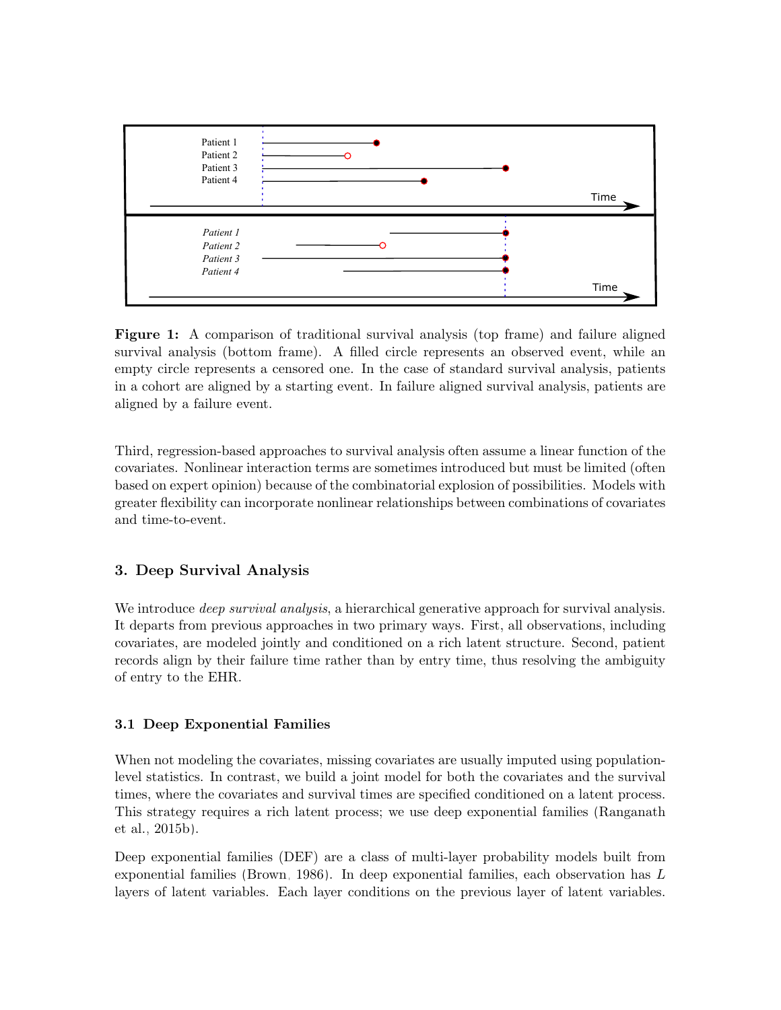<span id="page-3-1"></span>

Figure 1: A comparison of traditional survival analysis (top frame) and failure aligned survival analysis (bottom frame). A filled circle represents an observed event, while an empty circle represents a censored one. In the case of standard survival analysis, patients in a cohort are aligned by a starting event. In failure aligned survival analysis, patients are aligned by a failure event.

Third, regression-based approaches to survival analysis often assume a linear function of the covariates. Nonlinear interaction terms are sometimes introduced but must be limited (often based on expert opinion) because of the combinatorial explosion of possibilities. Models with greater flexibility can incorporate nonlinear relationships between combinations of covariates and time-to-event.

# 3. Deep Survival Analysis

We introduce *deep survival analysis*, a hierarchical generative approach for survival analysis. It departs from previous approaches in two primary ways. First, all observations, including covariates, are modeled jointly and conditioned on a rich latent structure. Second, patient records align by their failure time rather than by entry time, thus resolving the ambiguity of entry to the EHR.

### <span id="page-3-0"></span>3.1 Deep Exponential Families

When not modeling the covariates, missing covariates are usually imputed using populationlevel statistics. In contrast, we build a joint model for both the covariates and the survival times, where the covariates and survival times are specified conditioned on a latent process. This strategy requires a rich latent process; we use deep exponential families [\(Ranganath](#page-11-3) [et al., 2015b\)](#page-11-3).

Deep exponential families (DEF) are a class of multi-layer probability models built from exponential families [\(Brown, 1986\)](#page-10-8). In deep exponential families, each observation has L layers of latent variables. Each layer conditions on the previous layer of latent variables.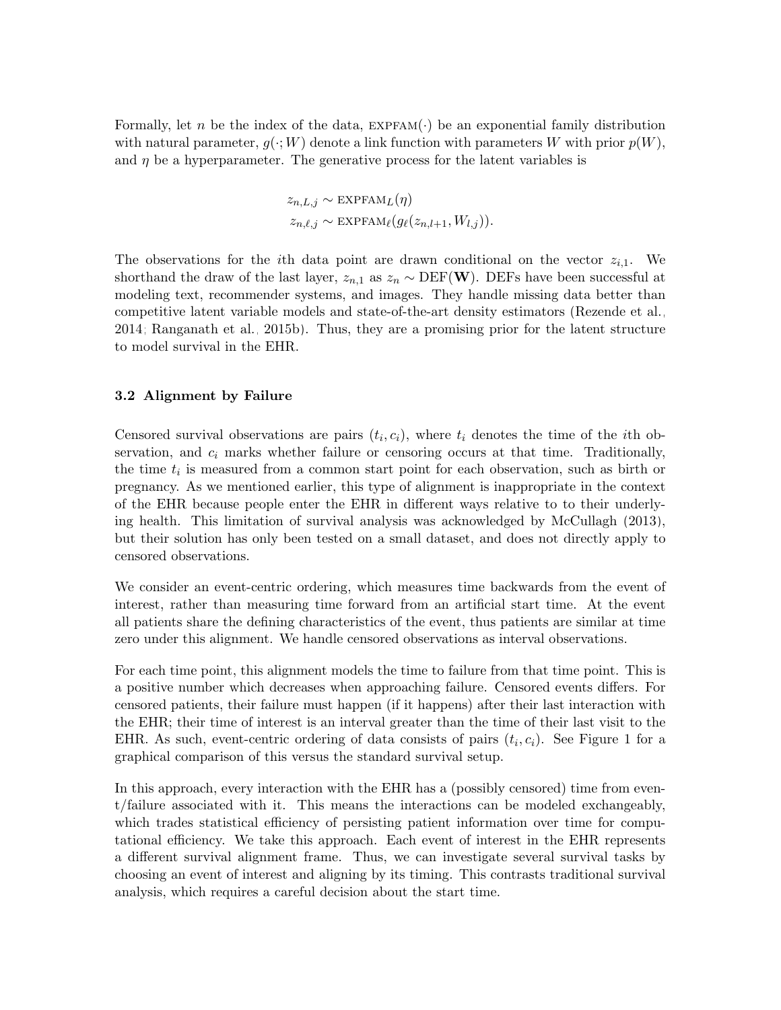Formally, let n be the index of the data,  $EXPFAM(\cdot)$  be an exponential family distribution with natural parameter,  $g(\cdot; W)$  denote a link function with parameters W with prior  $p(W)$ , and  $\eta$  be a hyperparameter. The generative process for the latent variables is

$$
z_{n,L,j} \sim \text{EXPFAM}_L(\eta)
$$
  

$$
z_{n,\ell,j} \sim \text{EXPFAM}_{\ell}(g_{\ell}(z_{n,l+1}, W_{l,j})).
$$

The observations for the *i*th data point are drawn conditional on the vector  $z_{i,1}$ . We shorthand the draw of the last layer,  $z_{n,1}$  as  $z_n \sim \text{DEF}(W)$ . DEFs have been successful at modeling text, recommender systems, and images. They handle missing data better than competitive latent variable models and state-of-the-art density estimators [\(Rezende et al.,](#page-11-7) [2014;](#page-11-7) [Ranganath et al., 2015b\)](#page-11-3). Thus, they are a promising prior for the latent structure to model survival in the EHR.

### <span id="page-4-0"></span>3.2 Alignment by Failure

Censored survival observations are pairs  $(t_i, c_i)$ , where  $t_i$  denotes the time of the *i*th observation, and  $c_i$  marks whether failure or censoring occurs at that time. Traditionally, the time  $t_i$  is measured from a common start point for each observation, such as birth or pregnancy. As we mentioned earlier, this type of alignment is inappropriate in the context of the EHR because people enter the EHR in different ways relative to to their underlying health. This limitation of survival analysis was acknowledged by [McCullagh \(2013\)](#page-11-8), but their solution has only been tested on a small dataset, and does not directly apply to censored observations.

We consider an event-centric ordering, which measures time backwards from the event of interest, rather than measuring time forward from an artificial start time. At the event all patients share the defining characteristics of the event, thus patients are similar at time zero under this alignment. We handle censored observations as interval observations.

For each time point, this alignment models the time to failure from that time point. This is a positive number which decreases when approaching failure. Censored events differs. For censored patients, their failure must happen (if it happens) after their last interaction with the EHR; their time of interest is an interval greater than the time of their last visit to the EHR. As such, event-centric ordering of data consists of pairs  $(t_i, c_i)$ . See Figure [1](#page-3-1) for a graphical comparison of this versus the standard survival setup.

In this approach, every interaction with the EHR has a (possibly censored) time from event/failure associated with it. This means the interactions can be modeled exchangeably, which trades statistical efficiency of persisting patient information over time for computational efficiency. We take this approach. Each event of interest in the EHR represents a different survival alignment frame. Thus, we can investigate several survival tasks by choosing an event of interest and aligning by its timing. This contrasts traditional survival analysis, which requires a careful decision about the start time.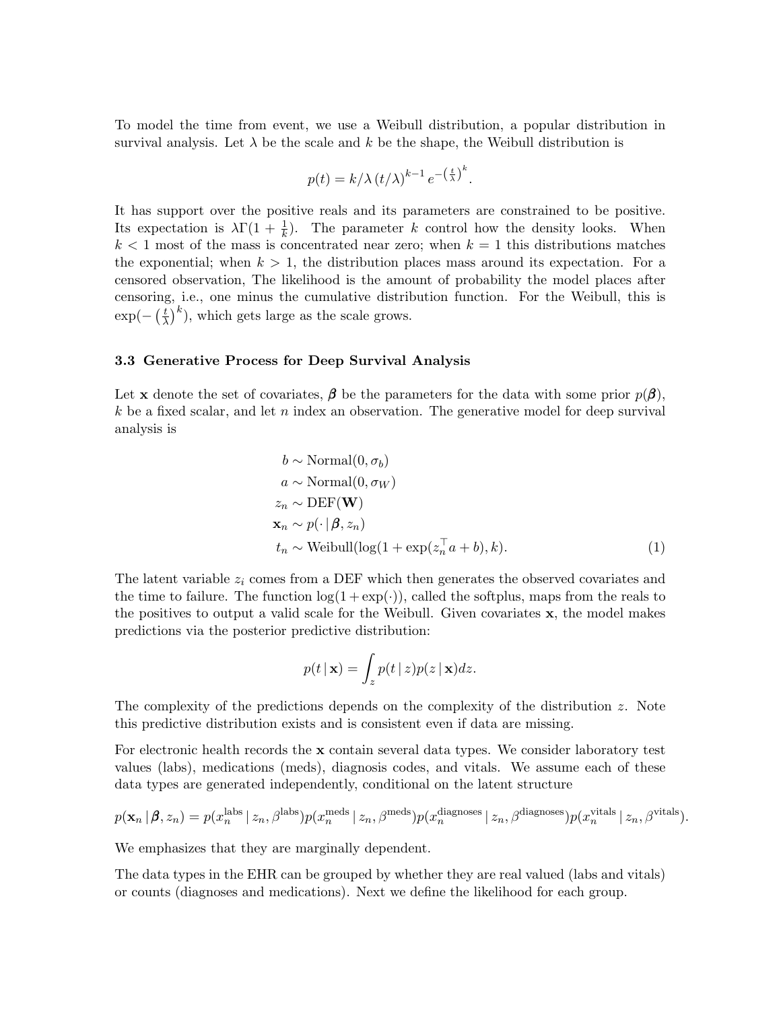To model the time from event, we use a Weibull distribution, a popular distribution in survival analysis. Let  $\lambda$  be the scale and k be the shape, the Weibull distribution is

$$
p(t) = k/\lambda (t/\lambda)^{k-1} e^{-\left(\frac{t}{\lambda}\right)^k}.
$$

It has support over the positive reals and its parameters are constrained to be positive. Its expectation is  $\lambda \Gamma(1 + \frac{1}{k})$ . The parameter k control how the density looks. When  $k < 1$  most of the mass is concentrated near zero; when  $k = 1$  this distributions matches the exponential; when  $k > 1$ , the distribution places mass around its expectation. For a censored observation, The likelihood is the amount of probability the model places after censoring, i.e., one minus the cumulative distribution function. For the Weibull, this is  $\exp(-\left(\frac{t}{\lambda}\right))$  $(\frac{t}{\lambda})^k$ ), which gets large as the scale grows.

#### <span id="page-5-0"></span>3.3 Generative Process for Deep Survival Analysis

Let **x** denote the set of covariates,  $\beta$  be the parameters for the data with some prior  $p(\beta)$ ,  $k$  be a fixed scalar, and let n index an observation. The generative model for deep survival analysis is

$$
b \sim \text{Normal}(0, \sigma_b)
$$
  
\n
$$
a \sim \text{Normal}(0, \sigma_W)
$$
  
\n
$$
z_n \sim \text{DEF}(\mathbf{W})
$$
  
\n
$$
\mathbf{x}_n \sim p(\cdot | \boldsymbol{\beta}, z_n)
$$
  
\n
$$
t_n \sim \text{Weibull}(\log(1 + \exp(z_n^{\top} a + b), k).
$$
\n(1)

The latent variable  $z_i$  comes from a DEF which then generates the observed covariates and the time to failure. The function  $log(1 + exp(·))$ , called the softplus, maps from the reals to the positives to output a valid scale for the Weibull. Given covariates x, the model makes predictions via the posterior predictive distribution:

$$
p(t | \mathbf{x}) = \int_{z} p(t | z) p(z | \mathbf{x}) dz.
$$

The complexity of the predictions depends on the complexity of the distribution z. Note this predictive distribution exists and is consistent even if data are missing.

For electronic health records the x contain several data types. We consider laboratory test values (labs), medications (meds), diagnosis codes, and vitals. We assume each of these data types are generated independently, conditional on the latent structure

$$
p(\mathbf{x}_n \mid \boldsymbol{\beta}, z_n) = p(x_n^{\text{labs}} \mid z_n, \beta^{\text{labs}}) p(x_n^{\text{meds}} \mid z_n, \beta^{\text{meds}}) p(x_n^{\text{diagnoses}} \mid z_n, \beta^{\text{diagnoses}}) p(x_n^{\text{vitals}} \mid z_n, \beta^{\text{vitals}}).
$$

We emphasizes that they are marginally dependent.

The data types in the EHR can be grouped by whether they are real valued (labs and vitals) or counts (diagnoses and medications). Next we define the likelihood for each group.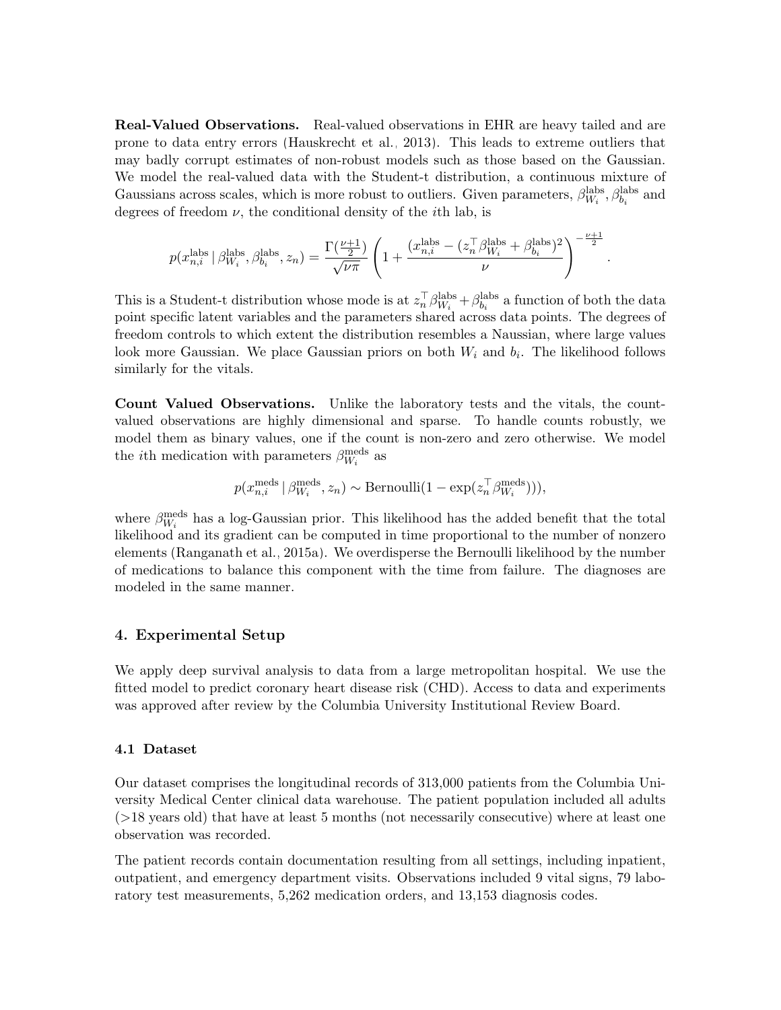Real-Valued Observations. Real-valued observations in EHR are heavy tailed and are prone to data entry errors [\(Hauskrecht et al., 2013\)](#page-10-9). This leads to extreme outliers that may badly corrupt estimates of non-robust models such as those based on the Gaussian. We model the real-valued data with the Student-t distribution, a continuous mixture of Gaussians across scales, which is more robust to outliers. Given parameters,  $\beta_{W_i}^{\text{labs}}$ ,  $\beta_{b_i}^{\text{labs}}$  and degrees of freedom  $\nu$ , the conditional density of the *i*th lab, is

$$
p(x^{\textrm{labels}}_{n,i} \mid \beta^{\textrm{labels}}_{W_i}, \beta^{\textrm{labels}}_{b_i}, z_n) = \frac{\Gamma(\frac{\nu+1}{2})}{\sqrt{\nu \pi}} \left(1 + \frac{(x^{\textrm{labels}}_{n,i} - (z_n^\top \beta^{\textrm{labels}}_{W_i} + \beta^{\textrm{labels}}_{b_i})^2}{\nu}\right)^{-\frac{\nu+1}{2}}
$$

.

This is a Student-t distribution whose mode is at  $z_n^{\top} \beta_{W_i}^{\text{labels}} + \beta_{b_i}^{\text{labels}}$  a function of both the data point specific latent variables and the parameters shared across data points. The degrees of freedom controls to which extent the distribution resembles a Naussian, where large values look more Gaussian. We place Gaussian priors on both  $W_i$  and  $b_i$ . The likelihood follows similarly for the vitals.

Count Valued Observations. Unlike the laboratory tests and the vitals, the countvalued observations are highly dimensional and sparse. To handle counts robustly, we model them as binary values, one if the count is non-zero and zero otherwise. We model the *i*<sup>th</sup> medication with parameters  $\beta_{W_i}^{\text{meds}}$  as

$$
p(x_{n,i}^{\text{meds}} \mid \beta_{W_i}^{\text{meds}}, z_n) \sim \text{Bernoulli}(1 - \exp(z_n^{\top} \beta_{W_i}^{\text{meds}}))),
$$

where  $\beta_{W_i}^{\text{meds}}$  has a log-Gaussian prior. This likelihood has the added benefit that the total likelihood and its gradient can be computed in time proportional to the number of nonzero elements [\(Ranganath et al., 2015a\)](#page-11-9). We overdisperse the Bernoulli likelihood by the number of medications to balance this component with the time from failure. The diagnoses are modeled in the same manner.

### <span id="page-6-0"></span>4. Experimental Setup

We apply deep survival analysis to data from a large metropolitan hospital. We use the fitted model to predict coronary heart disease risk (CHD). Access to data and experiments was approved after review by the Columbia University Institutional Review Board.

### 4.1 Dataset

Our dataset comprises the longitudinal records of 313,000 patients from the Columbia University Medical Center clinical data warehouse. The patient population included all adults (>18 years old) that have at least 5 months (not necessarily consecutive) where at least one observation was recorded.

The patient records contain documentation resulting from all settings, including inpatient, outpatient, and emergency department visits. Observations included 9 vital signs, 79 laboratory test measurements, 5,262 medication orders, and 13,153 diagnosis codes.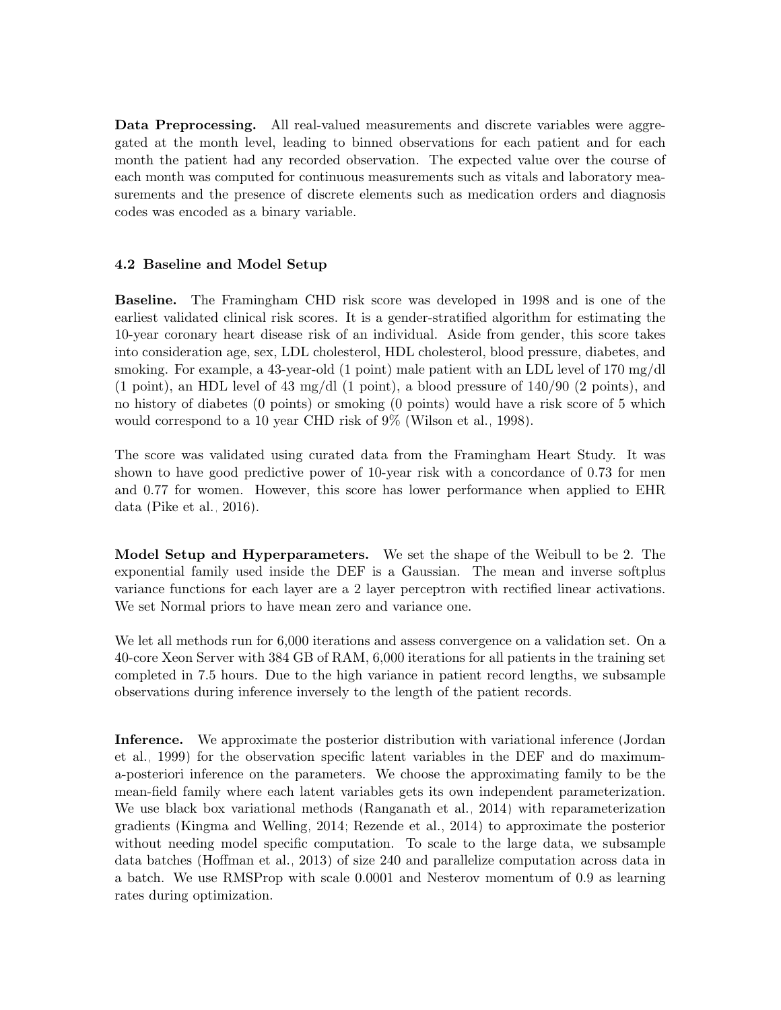Data Preprocessing. All real-valued measurements and discrete variables were aggregated at the month level, leading to binned observations for each patient and for each month the patient had any recorded observation. The expected value over the course of each month was computed for continuous measurements such as vitals and laboratory measurements and the presence of discrete elements such as medication orders and diagnosis codes was encoded as a binary variable.

## <span id="page-7-0"></span>4.2 Baseline and Model Setup

Baseline. The Framingham CHD risk score was developed in 1998 and is one of the earliest validated clinical risk scores. It is a gender-stratified algorithm for estimating the 10-year coronary heart disease risk of an individual. Aside from gender, this score takes into consideration age, sex, LDL cholesterol, HDL cholesterol, blood pressure, diabetes, and smoking. For example, a 43-year-old (1 point) male patient with an LDL level of 170 mg/dl  $(1 \text{ point})$ , an HDL level of 43 mg/dl  $(1 \text{ point})$ , a blood pressure of  $140/90$   $(2 \text{ points})$ , and no history of diabetes (0 points) or smoking (0 points) would have a risk score of 5 which would correspond to a 10 year CHD risk of 9% [\(Wilson et al., 1998\)](#page-12-5).

The score was validated using curated data from the Framingham Heart Study. It was shown to have good predictive power of 10-year risk with a concordance of 0.73 for men and 0.77 for women. However, this score has lower performance when applied to EHR data [\(Pike et al., 2016\)](#page-11-10).

Model Setup and Hyperparameters. We set the shape of the Weibull to be 2. The exponential family used inside the DEF is a Gaussian. The mean and inverse softplus variance functions for each layer are a 2 layer perceptron with rectified linear activations. We set Normal priors to have mean zero and variance one.

We let all methods run for 6,000 iterations and assess convergence on a validation set. On a 40-core Xeon Server with 384 GB of RAM, 6,000 iterations for all patients in the training set completed in 7.5 hours. Due to the high variance in patient record lengths, we subsample observations during inference inversely to the length of the patient records.

Inference. We approximate the posterior distribution with variational inference [\(Jordan](#page-11-11) [et al., 1999\)](#page-11-11) for the observation specific latent variables in the DEF and do maximuma-posteriori inference on the parameters. We choose the approximating family to be the mean-field family where each latent variables gets its own independent parameterization. We use black box variational methods [\(Ranganath et al., 2014\)](#page-11-12) with reparameterization gradients [\(Kingma and Welling, 2014;](#page-11-13) [Rezende et al., 2014\)](#page-11-7) to approximate the posterior without needing model specific computation. To scale to the large data, we subsample data batches [\(Hoffman et al., 2013\)](#page-10-10) of size 240 and parallelize computation across data in a batch. We use RMSProp with scale 0.0001 and Nesterov momentum of 0.9 as learning rates during optimization.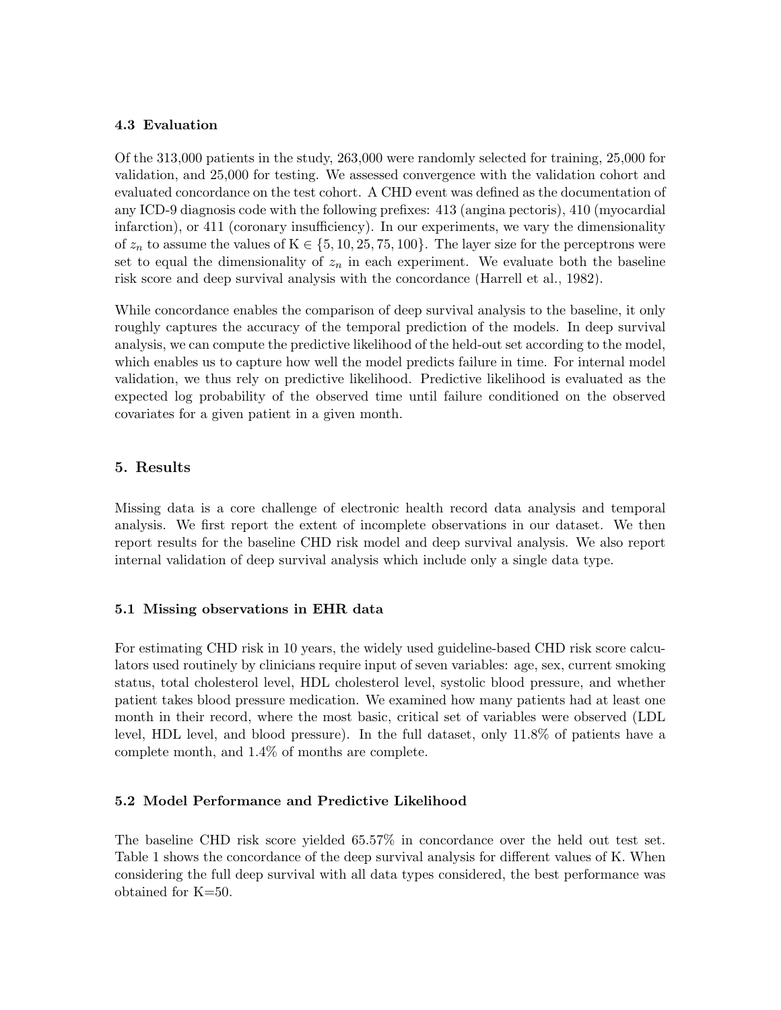## 4.3 Evaluation

Of the 313,000 patients in the study, 263,000 were randomly selected for training, 25,000 for validation, and 25,000 for testing. We assessed convergence with the validation cohort and evaluated concordance on the test cohort. A CHD event was defined as the documentation of any ICD-9 diagnosis code with the following prefixes: 413 (angina pectoris), 410 (myocardial infarction), or 411 (coronary insufficiency). In our experiments, we vary the dimensionality of  $z_n$  to assume the values of  $K \in \{5, 10, 25, 75, 100\}$ . The layer size for the perceptrons were set to equal the dimensionality of  $z_n$  in each experiment. We evaluate both the baseline risk score and deep survival analysis with the concordance [\(Harrell et al., 1982\)](#page-10-11).

While concordance enables the comparison of deep survival analysis to the baseline, it only roughly captures the accuracy of the temporal prediction of the models. In deep survival analysis, we can compute the predictive likelihood of the held-out set according to the model, which enables us to capture how well the model predicts failure in time. For internal model validation, we thus rely on predictive likelihood. Predictive likelihood is evaluated as the expected log probability of the observed time until failure conditioned on the observed covariates for a given patient in a given month.

# <span id="page-8-0"></span>5. Results

Missing data is a core challenge of electronic health record data analysis and temporal analysis. We first report the extent of incomplete observations in our dataset. We then report results for the baseline CHD risk model and deep survival analysis. We also report internal validation of deep survival analysis which include only a single data type.

# 5.1 Missing observations in EHR data

For estimating CHD risk in 10 years, the widely used guideline-based CHD risk score calculators used routinely by clinicians require input of seven variables: age, sex, current smoking status, total cholesterol level, HDL cholesterol level, systolic blood pressure, and whether patient takes blood pressure medication. We examined how many patients had at least one month in their record, where the most basic, critical set of variables were observed (LDL level, HDL level, and blood pressure). In the full dataset, only 11.8% of patients have a complete month, and 1.4% of months are complete.

# 5.2 Model Performance and Predictive Likelihood

The baseline CHD risk score yielded 65.57% in concordance over the held out test set. Table [1](#page-9-1) shows the concordance of the deep survival analysis for different values of K. When considering the full deep survival with all data types considered, the best performance was obtained for K=50.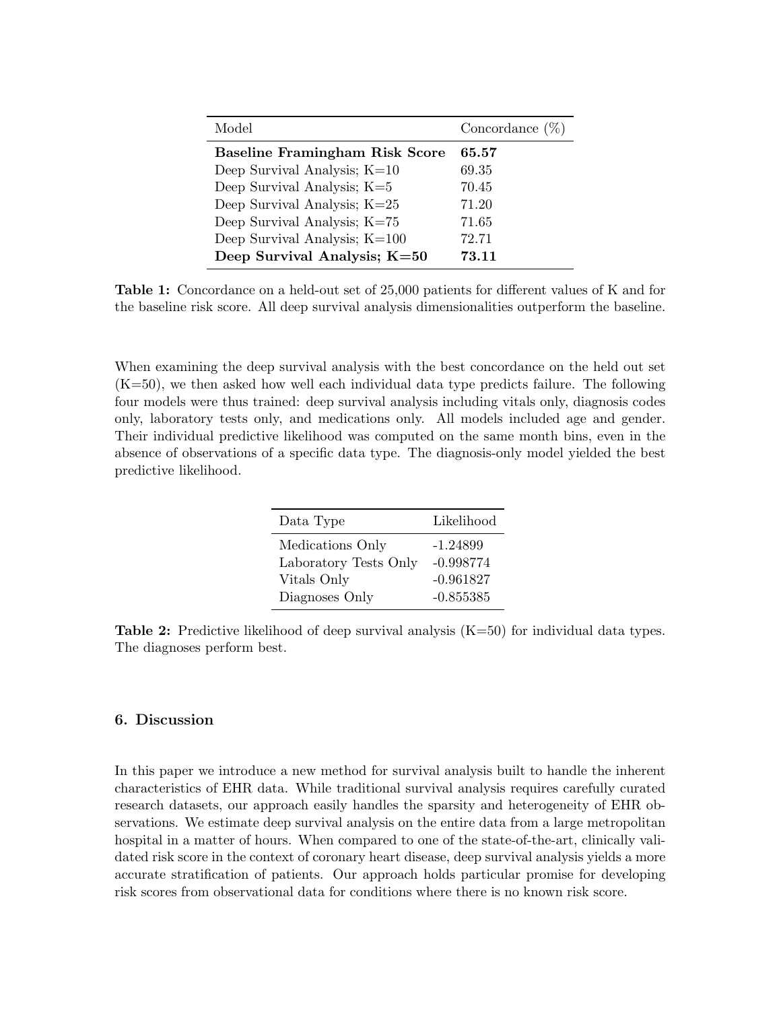<span id="page-9-1"></span>

| Model                                 | Concordance $(\%)$ |
|---------------------------------------|--------------------|
| <b>Baseline Framingham Risk Score</b> | 65.57              |
| Deep Survival Analysis; $K=10$        | 69.35              |
| Deep Survival Analysis; $K=5$         | 70.45              |
| Deep Survival Analysis; $K=25$        | 71.20              |
| Deep Survival Analysis; K=75          | 71.65              |
| Deep Survival Analysis; $K=100$       | 72.71              |
| Deep Survival Analysis; $K=50$        | 73.11              |

Table 1: Concordance on a held-out set of 25,000 patients for different values of K and for the baseline risk score. All deep survival analysis dimensionalities outperform the baseline.

When examining the deep survival analysis with the best concordance on the held out set (K=50), we then asked how well each individual data type predicts failure. The following four models were thus trained: deep survival analysis including vitals only, diagnosis codes only, laboratory tests only, and medications only. All models included age and gender. Their individual predictive likelihood was computed on the same month bins, even in the absence of observations of a specific data type. The diagnosis-only model yielded the best predictive likelihood.

| Data Type             | Likelihood  |
|-----------------------|-------------|
| Medications Only      | $-1.24899$  |
| Laboratory Tests Only | $-0.998774$ |
| Vitals Only           | $-0.961827$ |
| Diagnoses Only        | $-0.855385$ |

**Table 2:** Predictive likelihood of deep survival analysis  $(K=50)$  for individual data types. The diagnoses perform best.

#### <span id="page-9-0"></span>6. Discussion

In this paper we introduce a new method for survival analysis built to handle the inherent characteristics of EHR data. While traditional survival analysis requires carefully curated research datasets, our approach easily handles the sparsity and heterogeneity of EHR observations. We estimate deep survival analysis on the entire data from a large metropolitan hospital in a matter of hours. When compared to one of the state-of-the-art, clinically validated risk score in the context of coronary heart disease, deep survival analysis yields a more accurate stratification of patients. Our approach holds particular promise for developing risk scores from observational data for conditions where there is no known risk score.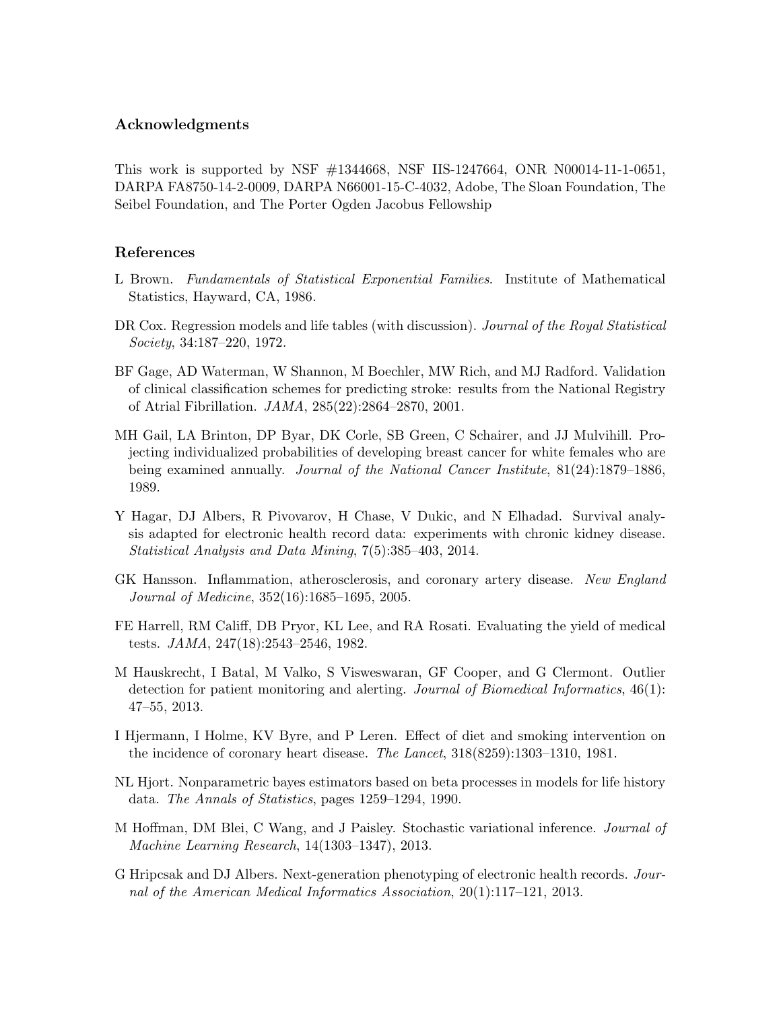## Acknowledgments

This work is supported by NSF #1344668, NSF IIS-1247664, ONR N00014-11-1-0651, DARPA FA8750-14-2-0009, DARPA N66001-15-C-4032, Adobe, The Sloan Foundation, The Seibel Foundation, and The Porter Ogden Jacobus Fellowship

### References

- <span id="page-10-8"></span>L Brown. Fundamentals of Statistical Exponential Families. Institute of Mathematical Statistics, Hayward, CA, 1986.
- <span id="page-10-4"></span>DR Cox. Regression models and life tables (with discussion). Journal of the Royal Statistical Society, 34:187–220, 1972.
- <span id="page-10-3"></span>BF Gage, AD Waterman, W Shannon, M Boechler, MW Rich, and MJ Radford. Validation of clinical classification schemes for predicting stroke: results from the National Registry of Atrial Fibrillation. JAMA, 285(22):2864–2870, 2001.
- <span id="page-10-2"></span>MH Gail, LA Brinton, DP Byar, DK Corle, SB Green, C Schairer, and JJ Mulvihill. Projecting individualized probabilities of developing breast cancer for white females who are being examined annually. Journal of the National Cancer Institute, 81(24):1879–1886, 1989.
- <span id="page-10-7"></span>Y Hagar, DJ Albers, R Pivovarov, H Chase, V Dukic, and N Elhadad. Survival analysis adapted for electronic health record data: experiments with chronic kidney disease. Statistical Analysis and Data Mining, 7(5):385–403, 2014.
- <span id="page-10-0"></span>GK Hansson. Inflammation, atherosclerosis, and coronary artery disease. New England Journal of Medicine, 352(16):1685–1695, 2005.
- <span id="page-10-11"></span>FE Harrell, RM Califf, DB Pryor, KL Lee, and RA Rosati. Evaluating the yield of medical tests. JAMA, 247(18):2543–2546, 1982.
- <span id="page-10-9"></span>M Hauskrecht, I Batal, M Valko, S Visweswaran, GF Cooper, and G Clermont. Outlier detection for patient monitoring and alerting. Journal of Biomedical Informatics, 46(1): 47–55, 2013.
- <span id="page-10-1"></span>I Hjermann, I Holme, KV Byre, and P Leren. Effect of diet and smoking intervention on the incidence of coronary heart disease. The Lancet, 318(8259):1303–1310, 1981.
- <span id="page-10-5"></span>NL Hjort. Nonparametric bayes estimators based on beta processes in models for life history data. The Annals of Statistics, pages 1259–1294, 1990.
- <span id="page-10-10"></span>M Hoffman, DM Blei, C Wang, and J Paisley. Stochastic variational inference. Journal of Machine Learning Research, 14(1303–1347), 2013.
- <span id="page-10-6"></span>G Hripcsak and DJ Albers. Next-generation phenotyping of electronic health records. Journal of the American Medical Informatics Association, 20(1):117–121, 2013.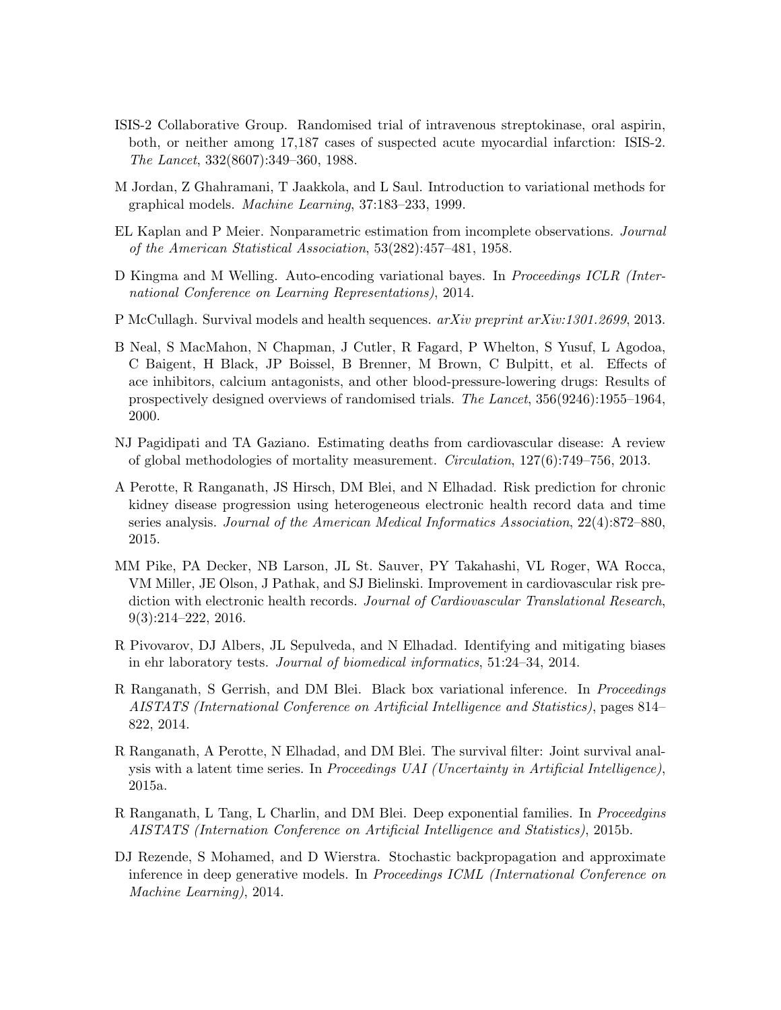- <span id="page-11-1"></span>ISIS-2 Collaborative Group. Randomised trial of intravenous streptokinase, oral aspirin, both, or neither among 17,187 cases of suspected acute myocardial infarction: ISIS-2. The Lancet, 332(8607):349–360, 1988.
- <span id="page-11-11"></span>M Jordan, Z Ghahramani, T Jaakkola, and L Saul. Introduction to variational methods for graphical models. Machine Learning, 37:183–233, 1999.
- <span id="page-11-4"></span>EL Kaplan and P Meier. Nonparametric estimation from incomplete observations. Journal of the American Statistical Association, 53(282):457–481, 1958.
- <span id="page-11-13"></span>D Kingma and M Welling. Auto-encoding variational bayes. In *Proceedings ICLR (Inter*national Conference on Learning Representations), 2014.
- <span id="page-11-8"></span>P McCullagh. Survival models and health sequences. *arXiv preprint arXiv:1301.2699*, 2013.
- <span id="page-11-2"></span>B Neal, S MacMahon, N Chapman, J Cutler, R Fagard, P Whelton, S Yusuf, L Agodoa, C Baigent, H Black, JP Boissel, B Brenner, M Brown, C Bulpitt, et al. Effects of ace inhibitors, calcium antagonists, and other blood-pressure-lowering drugs: Results of prospectively designed overviews of randomised trials. The Lancet, 356(9246):1955–1964, 2000.
- <span id="page-11-0"></span>NJ Pagidipati and TA Gaziano. Estimating deaths from cardiovascular disease: A review of global methodologies of mortality measurement. Circulation, 127(6):749–756, 2013.
- <span id="page-11-6"></span>A Perotte, R Ranganath, JS Hirsch, DM Blei, and N Elhadad. Risk prediction for chronic kidney disease progression using heterogeneous electronic health record data and time series analysis. Journal of the American Medical Informatics Association, 22(4):872–880, 2015.
- <span id="page-11-10"></span>MM Pike, PA Decker, NB Larson, JL St. Sauver, PY Takahashi, VL Roger, WA Rocca, VM Miller, JE Olson, J Pathak, and SJ Bielinski. Improvement in cardiovascular risk prediction with electronic health records. Journal of Cardiovascular Translational Research, 9(3):214–222, 2016.
- <span id="page-11-5"></span>R Pivovarov, DJ Albers, JL Sepulveda, and N Elhadad. Identifying and mitigating biases in ehr laboratory tests. Journal of biomedical informatics, 51:24–34, 2014.
- <span id="page-11-12"></span>R Ranganath, S Gerrish, and DM Blei. Black box variational inference. In Proceedings AISTATS (International Conference on Artificial Intelligence and Statistics), pages 814– 822, 2014.
- <span id="page-11-9"></span>R Ranganath, A Perotte, N Elhadad, and DM Blei. The survival filter: Joint survival analysis with a latent time series. In Proceedings UAI (Uncertainty in Artificial Intelligence), 2015a.
- <span id="page-11-3"></span>R Ranganath, L Tang, L Charlin, and DM Blei. Deep exponential families. In *Proceedgins* AISTATS (Internation Conference on Artificial Intelligence and Statistics), 2015b.
- <span id="page-11-7"></span>DJ Rezende, S Mohamed, and D Wierstra. Stochastic backpropagation and approximate inference in deep generative models. In Proceedings ICML (International Conference on Machine Learning), 2014.